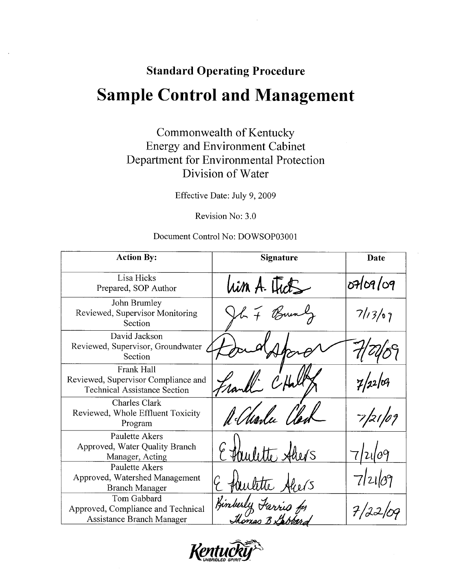# **Standard Operating Procedure Sample Control and Management**

Commonwealth of Kentucky **Energy and Environment Cabinet** Department for Environmental Protection Division of Water

Effective Date: July 9, 2009

Revision No: 3.0

#### Document Control No: DOWSOP03001

| <b>Action By:</b>                                                                        | <b>Signature</b>         | Date       |
|------------------------------------------------------------------------------------------|--------------------------|------------|
| Lisa Hicks<br>Prepared, SOP Author                                                       | him A. Ficts             | o709/09    |
| John Brumley<br>Reviewed, Supervisor Monitoring<br>Section                               | F Bun                    | 7/13/07    |
| David Jackson<br>Reviewed, Supervisor, Groundwater<br>Section                            |                          |            |
| Frank Hall<br>Reviewed, Supervisor Compliance and<br><b>Technical Assistance Section</b> |                          |            |
| Charles Clark<br>Reviewed, Whole Effluent Toxicity<br>Program                            | A Marle                  | 21,        |
| Paulette Akers<br>Approved, Water Quality Branch<br>Manager, Acting                      | rulette Ahers            | $\theta$ 9 |
| Paulette Akers<br>Approved, Watershed Management<br><b>Branch Manager</b>                | autitre Aliers           | 7 21 09    |
| Tom Gabbard<br>Approved, Compliance and Technical<br>Assistance Branch Manager           | Kinberly<br>Thomas B Sab |            |

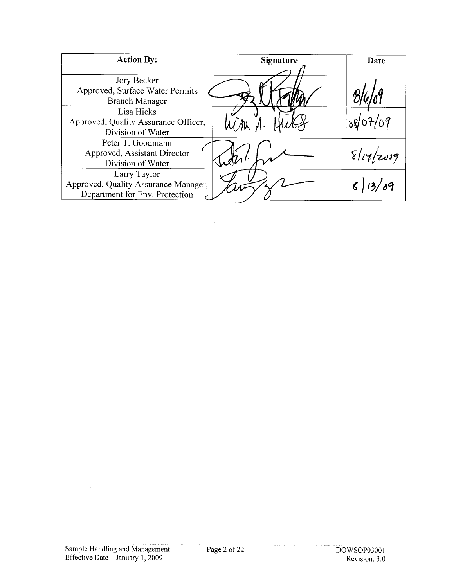| <b>Action By:</b>                    | <b>Signature</b> | Date              |
|--------------------------------------|------------------|-------------------|
|                                      |                  |                   |
| Jory Becker                          |                  |                   |
| Approved, Surface Water Permits      |                  |                   |
| <b>Branch Manager</b>                |                  |                   |
| Lisa Hicks                           |                  |                   |
| Approved, Quality Assurance Officer, |                  |                   |
| Division of Water                    |                  |                   |
| Peter T. Goodmann                    |                  |                   |
| Approved, Assistant Director         |                  | $\delta  17 2039$ |
| Division of Water                    |                  |                   |
| Larry Taylor                         |                  |                   |
| Approved, Quality Assurance Manager, |                  |                   |
| Department for Env. Protection       |                  |                   |

 $\sim$ 

 $\hat{\mathcal{A}}$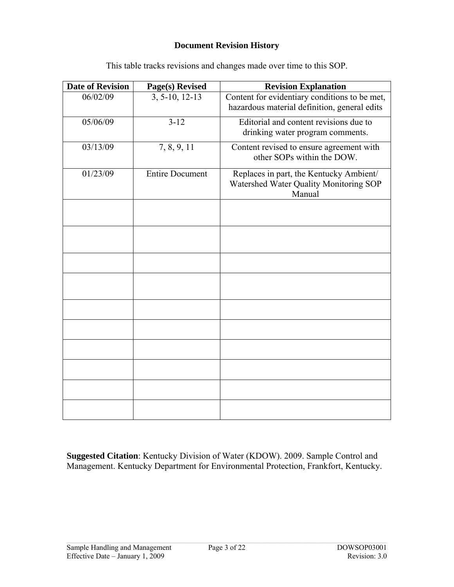#### **Document Revision History**

| <b>Date of Revision</b> | Page(s) Revised        | <b>Revision Explanation</b>                                                                   |
|-------------------------|------------------------|-----------------------------------------------------------------------------------------------|
| 06/02/09                | 3, 5-10, 12-13         | Content for evidentiary conditions to be met,<br>hazardous material definition, general edits |
| 05/06/09                | $3 - 12$               | Editorial and content revisions due to<br>drinking water program comments.                    |
| 03/13/09                | 7, 8, 9, 11            | Content revised to ensure agreement with<br>other SOPs within the DOW.                        |
| 01/23/09                | <b>Entire Document</b> | Replaces in part, the Kentucky Ambient/<br>Watershed Water Quality Monitoring SOP<br>Manual   |
|                         |                        |                                                                                               |
|                         |                        |                                                                                               |
|                         |                        |                                                                                               |
|                         |                        |                                                                                               |
|                         |                        |                                                                                               |
|                         |                        |                                                                                               |
|                         |                        |                                                                                               |
|                         |                        |                                                                                               |
|                         |                        |                                                                                               |
|                         |                        |                                                                                               |

This table tracks revisions and changes made over time to this SOP.

**Suggested Citation**: Kentucky Division of Water (KDOW). 2009. Sample Control and Management. Kentucky Department for Environmental Protection, Frankfort, Kentucky.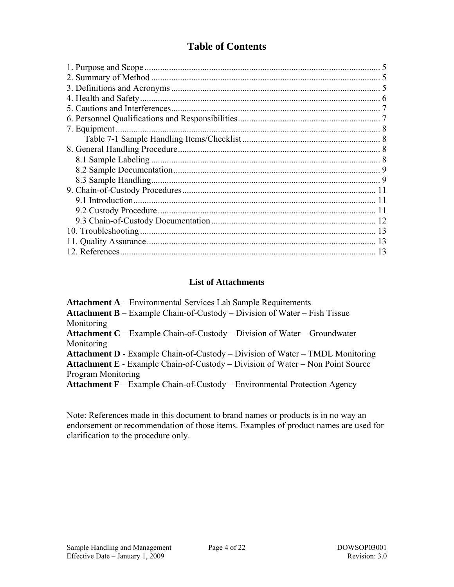## **Table of Contents**

#### **List of Attachments**

**Attachment A** – Environmental Services Lab Sample Requirements **Attachment B** – Example Chain-of-Custody – Division of Water – Fish Tissue **Monitoring Attachment C** – Example Chain-of-Custody – Division of Water – Groundwater Monitoring **Attachment D** - Example Chain-of-Custody – Division of Water – TMDL Monitoring **Attachment E** - Example Chain-of-Custody – Division of Water – Non Point Source Program Monitoring **Attachment F** – Example Chain-of-Custody – Environmental Protection Agency

Note: References made in this document to brand names or products is in no way an endorsement or recommendation of those items. Examples of product names are used for clarification to the procedure only.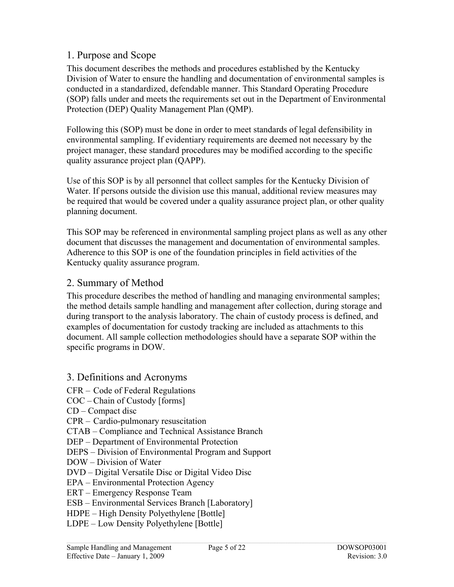## <span id="page-4-0"></span>1. Purpose and Scope

This document describes the methods and procedures established by the Kentucky Division of Water to ensure the handling and documentation of environmental samples is conducted in a standardized, defendable manner. This Standard Operating Procedure (SOP) falls under and meets the requirements set out in the Department of Environmental Protection (DEP) Quality Management Plan (QMP).

Following this (SOP) must be done in order to meet standards of legal defensibility in environmental sampling. If evidentiary requirements are deemed not necessary by the project manager, these standard procedures may be modified according to the specific quality assurance project plan (QAPP).

Use of this SOP is by all personnel that collect samples for the Kentucky Division of Water. If persons outside the division use this manual, additional review measures may be required that would be covered under a quality assurance project plan, or other quality planning document.

This SOP may be referenced in environmental sampling project plans as well as any other document that discusses the management and documentation of environmental samples. Adherence to this SOP is one of the foundation principles in field activities of the Kentucky quality assurance program.

## 2. Summary of Method

This procedure describes the method of handling and managing environmental samples; the method details sample handling and management after collection, during storage and during transport to the analysis laboratory. The chain of custody process is defined, and examples of documentation for custody tracking are included as attachments to this document. All sample collection methodologies should have a separate SOP within the specific programs in DOW.

- 3. Definitions and Acronyms
- CFR Code of Federal Regulations
- COC Chain of Custody [forms]
- CD Compact disc
- CPR Cardio-pulmonary resuscitation
- CTAB Compliance and Technical Assistance Branch
- DEP Department of Environmental Protection
- DEPS Division of Environmental Program and Support
- DOW Division of Water
- DVD Digital Versatile Disc or Digital Video Disc
- EPA Environmental Protection Agency
- ERT Emergency Response Team
- ESB Environmental Services Branch [Laboratory]
- HDPE High Density Polyethylene [Bottle]
- LDPE Low Density Polyethylene [Bottle]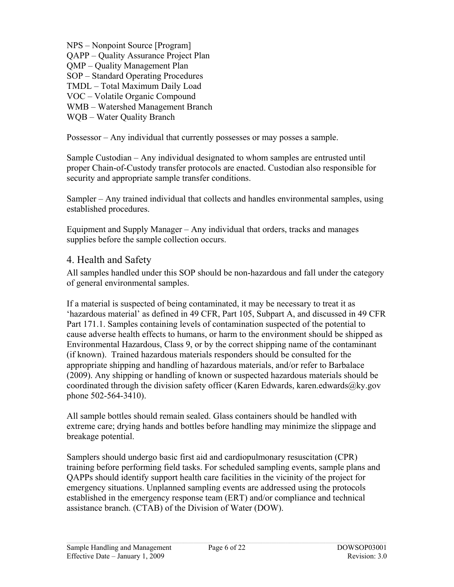<span id="page-5-0"></span>NPS – Nonpoint Source [Program] QAPP – Quality Assurance Project Plan QMP – Quality Management Plan SOP – Standard Operating Procedures TMDL – Total Maximum Daily Load VOC – Volatile Organic Compound WMB – Watershed Management Branch WQB – Water Quality Branch

Possessor – Any individual that currently possesses or may posses a sample.

Sample Custodian – Any individual designated to whom samples are entrusted until proper Chain-of-Custody transfer protocols are enacted. Custodian also responsible for security and appropriate sample transfer conditions.

Sampler – Any trained individual that collects and handles environmental samples, using established procedures.

Equipment and Supply Manager – Any individual that orders, tracks and manages supplies before the sample collection occurs.

## 4. Health and Safety

All samples handled under this SOP should be non-hazardous and fall under the category of general environmental samples.

If a material is suspected of being contaminated, it may be necessary to treat it as 'hazardous material' as defined in 49 CFR, Part 105, Subpart A, and discussed in 49 CFR Part 171.1. Samples containing levels of contamination suspected of the potential to cause adverse health effects to humans, or harm to the environment should be shipped as Environmental Hazardous, Class 9, or by the correct shipping name of the contaminant (if known). Trained hazardous materials responders should be consulted for the appropriate shipping and handling of hazardous materials, and/or refer to Barbalace (2009). Any shipping or handling of known or suspected hazardous materials should be coordinated through the division safety officer (Karen Edwards, karen.edwards@ky.gov phone 502-564-3410).

All sample bottles should remain sealed. Glass containers should be handled with extreme care; drying hands and bottles before handling may minimize the slippage and breakage potential.

Samplers should undergo basic first aid and cardiopulmonary resuscitation (CPR) training before performing field tasks. For scheduled sampling events, sample plans and QAPPs should identify support health care facilities in the vicinity of the project for emergency situations. Unplanned sampling events are addressed using the protocols established in the emergency response team (ERT) and/or compliance and technical assistance branch. (CTAB) of the Division of Water (DOW).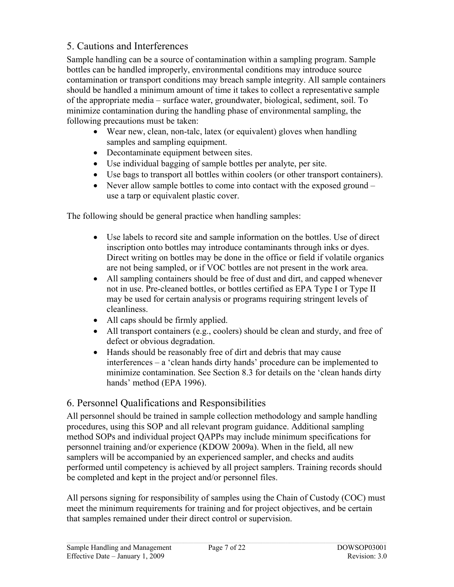## <span id="page-6-0"></span>5. Cautions and Interferences

Sample handling can be a source of contamination within a sampling program. Sample bottles can be handled improperly, environmental conditions may introduce source contamination or transport conditions may breach sample integrity. All sample containers should be handled a minimum amount of time it takes to collect a representative sample of the appropriate media – surface water, groundwater, biological, sediment, soil. To minimize contamination during the handling phase of environmental sampling, the following precautions must be taken:

- Wear new, clean, non-talc, latex (or equivalent) gloves when handling samples and sampling equipment.
- Decontaminate equipment between sites.
- Use individual bagging of sample bottles per analyte, per site.
- Use bags to transport all bottles within coolers (or other transport containers).
- Never allow sample bottles to come into contact with the exposed ground use a tarp or equivalent plastic cover.

The following should be general practice when handling samples:

- Use labels to record site and sample information on the bottles. Use of direct inscription onto bottles may introduce contaminants through inks or dyes. Direct writing on bottles may be done in the office or field if volatile organics are not being sampled, or if VOC bottles are not present in the work area.
- All sampling containers should be free of dust and dirt, and capped whenever not in use. Pre-cleaned bottles, or bottles certified as EPA Type I or Type II may be used for certain analysis or programs requiring stringent levels of cleanliness.
- All caps should be firmly applied.
- All transport containers (e.g., coolers) should be clean and sturdy, and free of defect or obvious degradation.
- Hands should be reasonably free of dirt and debris that may cause interferences – a 'clean hands dirty hands' procedure can be implemented to minimize contamination. See Section 8.3 for details on the 'clean hands dirty hands' method (EPA 1996).

## 6. Personnel Qualifications and Responsibilities

All personnel should be trained in sample collection methodology and sample handling procedures, using this SOP and all relevant program guidance. Additional sampling method SOPs and individual project QAPPs may include minimum specifications for personnel training and/or experience (KDOW 2009a). When in the field, all new samplers will be accompanied by an experienced sampler, and checks and audits performed until competency is achieved by all project samplers. Training records should be completed and kept in the project and/or personnel files.

All persons signing for responsibility of samples using the Chain of Custody (COC) must meet the minimum requirements for training and for project objectives, and be certain that samples remained under their direct control or supervision.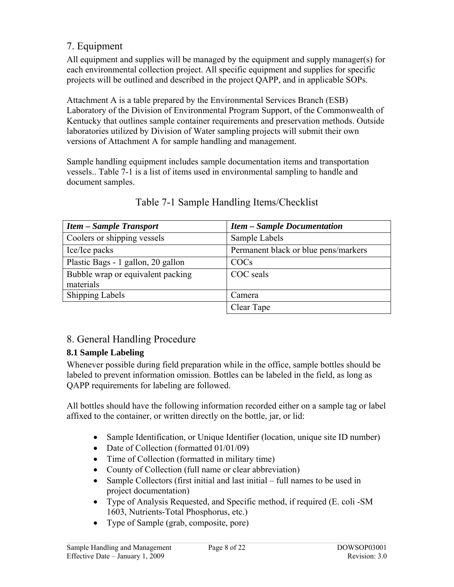## <span id="page-7-0"></span>7. Equipment

All equipment and supplies will be managed by the equipment and supply manager(s) for each environmental collection project. All specific equipment and supplies for specific projects will be outlined and described in the project QAPP, and in applicable SOPs.

Attachment A is a table prepared by the Environmental Services Branch (ESB) Laboratory of the Division of Environmental Program Support, of the Commonwealth of Kentucky that outlines sample container requirements and preservation methods. Outside laboratories utilized by Division of Water sampling projects will submit their own versions of Attachment A for sample handling and management.

Sample handling equipment includes sample documentation items and transportation vessels.. Table 7-1 is a list of items used in environmental sampling to handle and document samples.

| <b>Item – Sample Transport</b>     | <b>Item - Sample Documentation</b>   |
|------------------------------------|--------------------------------------|
| Coolers or shipping vessels        | Sample Labels                        |
| Ice/Ice packs                      | Permanent black or blue pens/markers |
| Plastic Bags - 1 gallon, 20 gallon | COCs                                 |
| Bubble wrap or equivalent packing  | COC seals                            |
| materials                          |                                      |
| <b>Shipping Labels</b>             | Camera                               |
|                                    | Clear Tape                           |

## Table 7-1 Sample Handling Items/Checklist

## 8. General Handling Procedure

## **8.1 Sample Labeling**

Whenever possible during field preparation while in the office, sample bottles should be labeled to prevent information omission. Bottles can be labeled in the field, as long as QAPP requirements for labeling are followed.

All bottles should have the following information recorded either on a sample tag or label affixed to the container, or written directly on the bottle, jar, or lid:

- Sample Identification, or Unique Identifier (location, unique site ID number)
- Date of Collection (formatted 01/01/09)
- Time of Collection (formatted in military time)
- County of Collection (full name or clear abbreviation)
- Sample Collectors (first initial and last initial full names to be used in project documentation)
- Type of Analysis Requested, and Specific method, if required (E. coli -SM 1603, Nutrients-Total Phosphorus, etc.)
- Type of Sample (grab, composite, pore)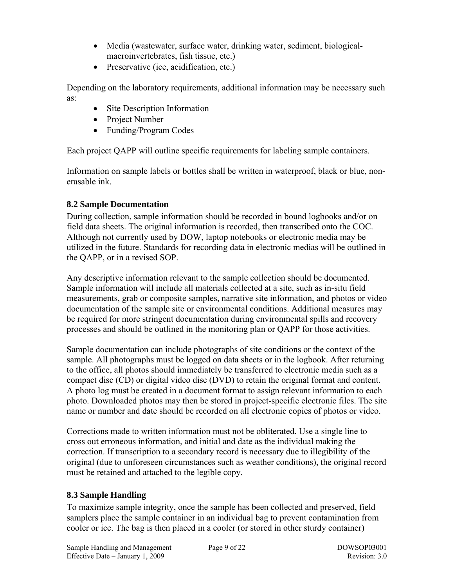- <span id="page-8-0"></span>• Media (wastewater, surface water, drinking water, sediment, biologicalmacroinvertebrates, fish tissue, etc.)
- Preservative (ice, acidification, etc.)

Depending on the laboratory requirements, additional information may be necessary such as:

- Site Description Information
- Project Number
- Funding/Program Codes

Each project QAPP will outline specific requirements for labeling sample containers.

Information on sample labels or bottles shall be written in waterproof, black or blue, nonerasable ink.

## **8.2 Sample Documentation**

During collection, sample information should be recorded in bound logbooks and/or on field data sheets. The original information is recorded, then transcribed onto the COC. Although not currently used by DOW, laptop notebooks or electronic media may be utilized in the future. Standards for recording data in electronic medias will be outlined in the QAPP, or in a revised SOP.

Any descriptive information relevant to the sample collection should be documented. Sample information will include all materials collected at a site, such as in-situ field measurements, grab or composite samples, narrative site information, and photos or video documentation of the sample site or environmental conditions. Additional measures may be required for more stringent documentation during environmental spills and recovery processes and should be outlined in the monitoring plan or QAPP for those activities.

Sample documentation can include photographs of site conditions or the context of the sample. All photographs must be logged on data sheets or in the logbook. After returning to the office, all photos should immediately be transferred to electronic media such as a compact disc (CD) or digital video disc (DVD) to retain the original format and content. A photo log must be created in a document format to assign relevant information to each photo. Downloaded photos may then be stored in project-specific electronic files. The site name or number and date should be recorded on all electronic copies of photos or video.

Corrections made to written information must not be obliterated. Use a single line to cross out erroneous information, and initial and date as the individual making the correction. If transcription to a secondary record is necessary due to illegibility of the original (due to unforeseen circumstances such as weather conditions), the original record must be retained and attached to the legible copy.

## **8.3 Sample Handling**

To maximize sample integrity, once the sample has been collected and preserved, field samplers place the sample container in an individual bag to prevent contamination from cooler or ice. The bag is then placed in a cooler (or stored in other sturdy container)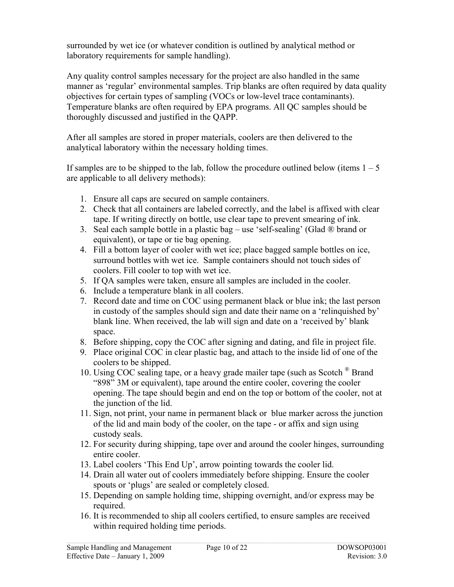surrounded by wet ice (or whatever condition is outlined by analytical method or laboratory requirements for sample handling).

Any quality control samples necessary for the project are also handled in the same manner as 'regular' environmental samples. Trip blanks are often required by data quality objectives for certain types of sampling (VOCs or low-level trace contaminants). Temperature blanks are often required by EPA programs. All QC samples should be thoroughly discussed and justified in the QAPP.

After all samples are stored in proper materials, coolers are then delivered to the analytical laboratory within the necessary holding times.

If samples are to be shipped to the lab, follow the procedure outlined below (items  $1 - 5$ ) are applicable to all delivery methods):

- 1. Ensure all caps are secured on sample containers.
- 2. Check that all containers are labeled correctly, and the label is affixed with clear tape. If writing directly on bottle, use clear tape to prevent smearing of ink.
- 3. Seal each sample bottle in a plastic bag use 'self-sealing' (Glad  $\otimes$  brand or equivalent), or tape or tie bag opening.
- 4. Fill a bottom layer of cooler with wet ice; place bagged sample bottles on ice, surround bottles with wet ice. Sample containers should not touch sides of coolers. Fill cooler to top with wet ice.
- 5. If QA samples were taken, ensure all samples are included in the cooler.
- 6. Include a temperature blank in all coolers.
- 7. Record date and time on COC using permanent black or blue ink; the last person in custody of the samples should sign and date their name on a 'relinquished by' blank line. When received, the lab will sign and date on a 'received by' blank space.
- 8. Before shipping, copy the COC after signing and dating, and file in project file.
- 9. Place original COC in clear plastic bag, and attach to the inside lid of one of the coolers to be shipped.
- 10. Using COC sealing tape, or a heavy grade mailer tape (such as Scotch <sup>®</sup> Brand "898" 3M or equivalent), tape around the entire cooler, covering the cooler opening. The tape should begin and end on the top or bottom of the cooler, not at the junction of the lid.
- 11. Sign, not print, your name in permanent black or blue marker across the junction of the lid and main body of the cooler, on the tape - or affix and sign using custody seals.
- 12. For security during shipping, tape over and around the cooler hinges, surrounding entire cooler.
- 13. Label coolers 'This End Up', arrow pointing towards the cooler lid.
- 14. Drain all water out of coolers immediately before shipping. Ensure the cooler spouts or 'plugs' are sealed or completely closed.
- 15. Depending on sample holding time, shipping overnight, and/or express may be required.
- 16. It is recommended to ship all coolers certified, to ensure samples are received within required holding time periods.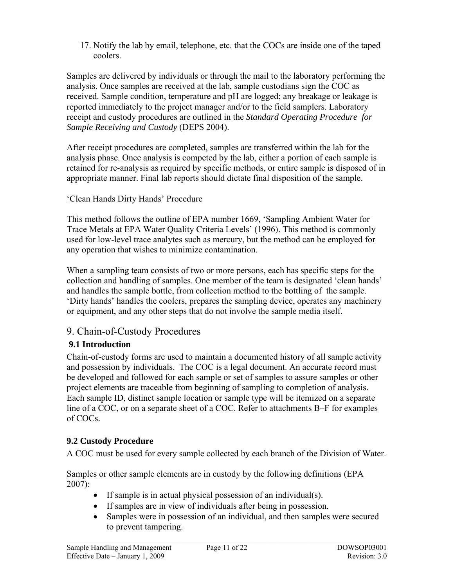<span id="page-10-0"></span>17. Notify the lab by email, telephone, etc. that the COCs are inside one of the taped coolers.

Samples are delivered by individuals or through the mail to the laboratory performing the analysis. Once samples are received at the lab, sample custodians sign the COC as received. Sample condition, temperature and pH are logged; any breakage or leakage is reported immediately to the project manager and/or to the field samplers. Laboratory receipt and custody procedures are outlined in the *Standard Operating Procedure for Sample Receiving and Custody* (DEPS 2004).

After receipt procedures are completed, samples are transferred within the lab for the analysis phase. Once analysis is competed by the lab, either a portion of each sample is retained for re-analysis as required by specific methods, or entire sample is disposed of in appropriate manner. Final lab reports should dictate final disposition of the sample.

#### 'Clean Hands Dirty Hands' Procedure

This method follows the outline of EPA number 1669, 'Sampling Ambient Water for Trace Metals at EPA Water Quality Criteria Levels' (1996). This method is commonly used for low-level trace analytes such as mercury, but the method can be employed for any operation that wishes to minimize contamination.

When a sampling team consists of two or more persons, each has specific steps for the collection and handling of samples. One member of the team is designated 'clean hands' and handles the sample bottle, from collection method to the bottling of the sample. 'Dirty hands' handles the coolers, prepares the sampling device, operates any machinery or equipment, and any other steps that do not involve the sample media itself.

## 9. Chain-of-Custody Procedures

#### **9.1 Introduction**

Chain-of-custody forms are used to maintain a documented history of all sample activity and possession by individuals. The COC is a legal document. An accurate record must be developed and followed for each sample or set of samples to assure samples or other project elements are traceable from beginning of sampling to completion of analysis. Each sample ID, distinct sample location or sample type will be itemized on a separate line of a COC, or on a separate sheet of a COC. Refer to attachments B–F for examples of COCs.

#### **9.2 Custody Procedure**

A COC must be used for every sample collected by each branch of the Division of Water.

Samples or other sample elements are in custody by the following definitions (EPA 2007):

- If sample is in actual physical possession of an individual(s).
- If samples are in view of individuals after being in possession.
- Samples were in possession of an individual, and then samples were secured to prevent tampering.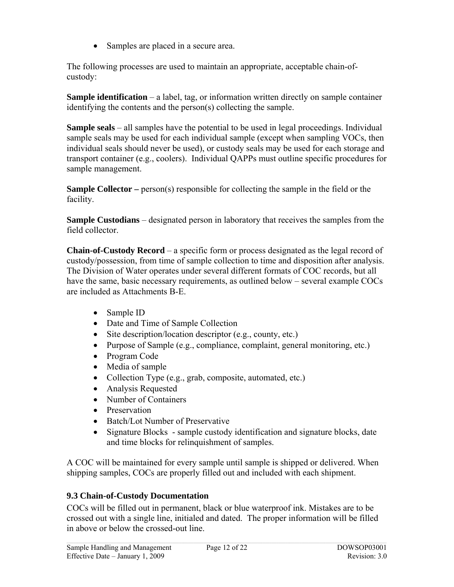• Samples are placed in a secure area.

<span id="page-11-0"></span>The following processes are used to maintain an appropriate, acceptable chain-ofcustody:

**Sample identification** – a label, tag, or information written directly on sample container identifying the contents and the person(s) collecting the sample.

**Sample seals** – all samples have the potential to be used in legal proceedings. Individual sample seals may be used for each individual sample (except when sampling VOCs, then individual seals should never be used), or custody seals may be used for each storage and transport container (e.g., coolers). Individual QAPPs must outline specific procedures for sample management.

**Sample Collector** – person(s) responsible for collecting the sample in the field or the facility.

**Sample Custodians** – designated person in laboratory that receives the samples from the field collector.

**Chain-of-Custody Record** – a specific form or process designated as the legal record of custody/possession, from time of sample collection to time and disposition after analysis. The Division of Water operates under several different formats of COC records, but all have the same, basic necessary requirements, as outlined below – several example COCs are included as Attachments B-E.

- Sample ID
- Date and Time of Sample Collection
- Site description/location descriptor (e.g., county, etc.)
- Purpose of Sample (e.g., compliance, complaint, general monitoring, etc.)
- Program Code
- Media of sample
- Collection Type (e.g., grab, composite, automated, etc.)
- Analysis Requested
- Number of Containers
- Preservation
- Batch/Lot Number of Preservative
- Signature Blocks sample custody identification and signature blocks, date and time blocks for relinquishment of samples.

A COC will be maintained for every sample until sample is shipped or delivered. When shipping samples, COCs are properly filled out and included with each shipment.

#### **9.3 Chain-of-Custody Documentation**

COCs will be filled out in permanent, black or blue waterproof ink. Mistakes are to be crossed out with a single line, initialed and dated. The proper information will be filled in above or below the crossed-out line.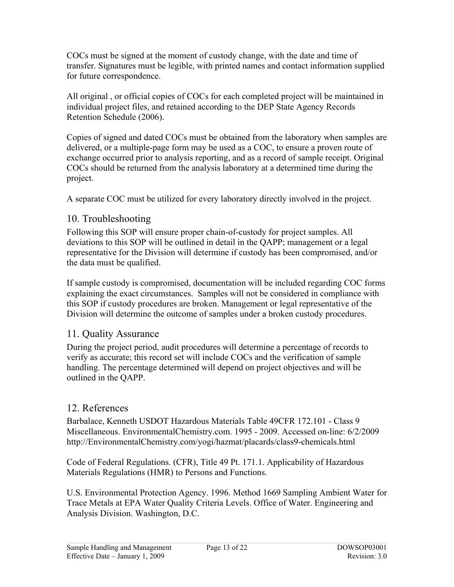<span id="page-12-0"></span>COCs must be signed at the moment of custody change, with the date and time of transfer. Signatures must be legible, with printed names and contact information supplied for future correspondence.

All original , or official copies of COCs for each completed project will be maintained in individual project files, and retained according to the DEP State Agency Records Retention Schedule (2006).

Copies of signed and dated COCs must be obtained from the laboratory when samples are delivered, or a multiple-page form may be used as a COC, to ensure a proven route of exchange occurred prior to analysis reporting, and as a record of sample receipt. Original COCs should be returned from the analysis laboratory at a determined time during the project.

A separate COC must be utilized for every laboratory directly involved in the project.

## 10. Troubleshooting

Following this SOP will ensure proper chain-of-custody for project samples. All deviations to this SOP will be outlined in detail in the QAPP; management or a legal representative for the Division will determine if custody has been compromised, and/or the data must be qualified.

If sample custody is compromised, documentation will be included regarding COC forms explaining the exact circumstances. Samples will not be considered in compliance with this SOP if custody procedures are broken. Management or legal representative of the Division will determine the outcome of samples under a broken custody procedures.

## 11. Quality Assurance

During the project period, audit procedures will determine a percentage of records to verify as accurate; this record set will include COCs and the verification of sample handling. The percentage determined will depend on project objectives and will be outlined in the QAPP.

## 12. References

Barbalace, Kenneth USDOT Hazardous Materials Table 49CFR 172.101 - Class 9 Miscellaneous. EnvironmentalChemistry.com. 1995 - 2009. Accessed on-line: 6/2/2009 http://EnvironmentalChemistry.com/yogi/hazmat/placards/class9-chemicals.html

Code of Federal Regulations. (CFR), Title 49 Pt. 171.1. Applicability of Hazardous Materials Regulations (HMR) to Persons and Functions.

U.S. Environmental Protection Agency. 1996. Method 1669 Sampling Ambient Water for Trace Metals at EPA Water Quality Criteria Levels. Office of Water. Engineering and Analysis Division. Washington, D.C.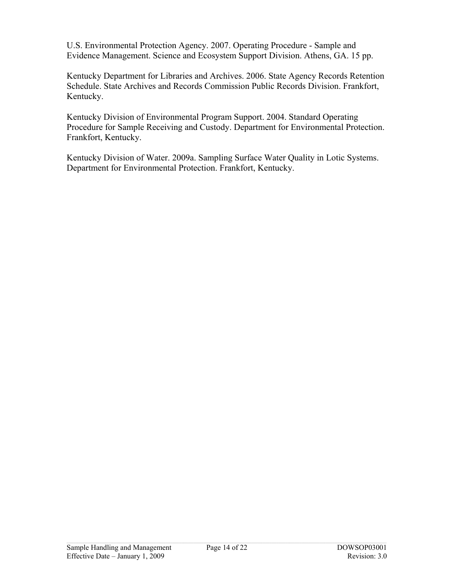U.S. Environmental Protection Agency. 2007. Operating Procedure - Sample and Evidence Management. Science and Ecosystem Support Division. Athens, GA. 15 pp.

Kentucky Department for Libraries and Archives. 2006. State Agency Records Retention Schedule. State Archives and Records Commission Public Records Division. Frankfort, Kentucky.

Kentucky Division of Environmental Program Support. 2004. Standard Operating Procedure for Sample Receiving and Custody. Department for Environmental Protection. Frankfort, Kentucky.

Kentucky Division of Water. 2009a. Sampling Surface Water Quality in Lotic Systems. Department for Environmental Protection. Frankfort, Kentucky.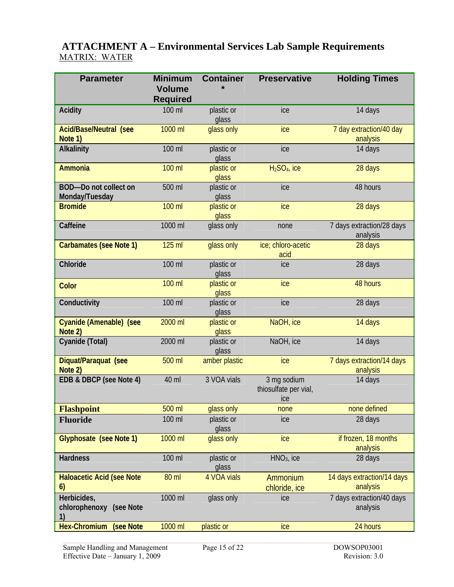## **ATTACHMENT A – Environmental Services Lab Sample Requirements**  MATRIX: WATER

| <b>Parameter</b>                               | <b>Minimum</b><br><b>Volume</b> | <b>Container</b>    | <b>Preservative</b>                         | <b>Holding Times</b>                   |
|------------------------------------------------|---------------------------------|---------------------|---------------------------------------------|----------------------------------------|
|                                                | <b>Required</b>                 |                     |                                             |                                        |
| <b>Acidity</b>                                 | 100 ml                          | plastic or<br>glass | ice                                         | 14 days                                |
| <b>Acid/Base/Neutral (see</b><br>Note 1)       | 1000 ml                         | glass only          | ice                                         | 7 day extraction/40 day<br>analysis    |
| Alkalinity                                     | 100 ml                          | plastic or<br>glass | ice                                         | 14 days                                |
| <b>Ammonia</b>                                 | 100 ml                          | plastic or<br>glass | $H2SO4$ , ice                               | 28 days                                |
| <b>BOD-Do not collect on</b><br>Monday/Tuesday | 500 ml                          | plastic or<br>glass | ice                                         | 48 hours                               |
| <b>Bromide</b>                                 | 100 ml                          | plastic or<br>glass | ice                                         | 28 days                                |
| Caffeine                                       | 1000 ml                         | glass only          | none                                        | 7 days extraction/28 days<br>analysis  |
| <b>Carbamates (see Note 1)</b>                 | 125 ml                          | glass only          | ice; chloro-acetic<br>acid                  | 28 days                                |
| Chloride                                       | 100 ml                          | plastic or<br>glass | ice                                         | 28 days                                |
| Color                                          | 100 ml                          | plastic or<br>glass | ice                                         | 48 hours                               |
| Conductivity                                   | 100 ml                          | plastic or<br>glass | ice                                         | 28 days                                |
| Cyanide (Amenable) (see<br>Note 2)             | 2000 ml                         | plastic or<br>glass | NaOH, ice                                   | 14 days                                |
| Cyanide (Total)                                | 2000 ml                         | plastic or<br>glass | NaOH, ice                                   | 14 days                                |
| Diquat/Paraquat (see<br>Note 2)                | 500 ml                          | amber plastic       | ice                                         | 7 days extraction/14 days<br>analysis  |
| EDB & DBCP (see Note 4)                        | 40 ml                           | 3 VOA vials         | 3 mg sodium<br>thiosulfate per vial,<br>ice | 14 days                                |
| <b>Flashpoint</b>                              | 500 ml                          | glass only          | none                                        | none defined                           |
| <b>Fluoride</b>                                | 100 ml                          | plastic or<br>glass | ice                                         | 28 days                                |
| Glyphosate (see Note 1)                        | 1000 ml                         | glass only          | ice                                         | if frozen, 18 months<br>analysis       |
| <b>Hardness</b>                                | 100 ml                          | plastic or<br>glass | $HNO3$ , ice                                | 28 days                                |
| <b>Haloacetic Acid (see Note</b><br>6)         | 80 ml                           | 4 VOA vials         | Ammonium<br>chloride, ice                   | 14 days extraction/14 days<br>analysis |
| Herbicides,<br>chlorophenoxy (see Note<br>1)   | 1000 ml                         | glass only          | ice                                         | 7 days extraction/40 days<br>analysis  |
| <b>Hex-Chromium</b><br>(see Note               | 1000 ml                         | plastic or          | ice                                         | 24 hours                               |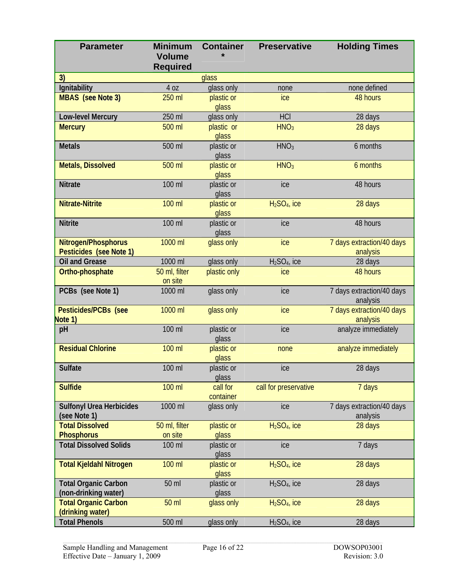| <b>Parameter</b>                                | <b>Minimum</b><br><b>Volume</b><br><b>Required</b> | <b>Container</b>      | <b>Preservative</b>   | <b>Holding Times</b>                  |
|-------------------------------------------------|----------------------------------------------------|-----------------------|-----------------------|---------------------------------------|
| 3)                                              |                                                    | glass                 |                       |                                       |
| Ignitability                                    | 4 oz                                               | glass only            | none                  | none defined                          |
| <b>MBAS</b> (see Note 3)                        | 250 ml                                             | plastic or<br>glass   | ice                   | 48 hours                              |
| Low-level Mercury                               | 250 ml                                             | glass only            | <b>HCI</b>            | 28 days                               |
| <b>Mercury</b>                                  | 500 ml                                             | plastic or<br>glass   | HNO <sub>3</sub>      | 28 days                               |
| <b>Metals</b>                                   | 500 ml                                             | plastic or<br>glass   | HNO <sub>3</sub>      | 6 months                              |
| <b>Metals, Dissolved</b>                        | 500 ml                                             | plastic or<br>glass   | HNO <sub>3</sub>      | 6 months                              |
| <b>Nitrate</b>                                  | 100 ml                                             | plastic or<br>glass   | ice                   | 48 hours                              |
| <b>Nitrate-Nitrite</b>                          | 100 ml                                             | plastic or<br>glass   | $H2SO4$ , ice         | 28 days                               |
| <b>Nitrite</b>                                  | 100 ml                                             | plastic or<br>glass   | ice                   | 48 hours                              |
| Nitrogen/Phosphorus<br>Pesticides (see Note 1)  | 1000 ml                                            | glass only            | ice                   | 7 days extraction/40 days<br>analysis |
| <b>Oil and Grease</b>                           | 1000 ml                                            | glass only            | $H2SO4$ , ice         | 28 days                               |
| Ortho-phosphate                                 | 50 ml, filter<br>on site                           | plastic only          | ice                   | 48 hours                              |
| PCBs (see Note 1)                               | 1000 ml                                            | glass only            | ice                   | 7 days extraction/40 days<br>analysis |
| Pesticides/PCBs (see<br>Note 1)                 | 1000 ml                                            | glass only            | ice                   | 7 days extraction/40 days<br>analysis |
| pH                                              | 100 ml                                             | plastic or<br>glass   | ice                   | analyze immediately                   |
| <b>Residual Chlorine</b>                        | 100 ml                                             | plastic or<br>glass   | none                  | analyze immediately                   |
| <b>Sulfate</b>                                  | 100 ml                                             | plastic or<br>glass   | ice                   | 28 days                               |
| <b>Sulfide</b>                                  | 100 ml                                             | call for<br>container | call for preservative | 7 days                                |
| <b>Sulfonyl Urea Herbicides</b><br>(see Note 1) | 1000 ml                                            | glass only            | ice                   | 7 days extraction/40 days<br>analysis |
| <b>Total Dissolved</b>                          | 50 ml, filter                                      | plastic or            | $H2SO4$ , ice         | 28 days                               |
| <b>Phosphorus</b>                               | on site                                            | glass                 |                       |                                       |
| <b>Total Dissolved Solids</b>                   | 100 ml                                             | plastic or<br>glass   | ice                   | 7 days                                |
| <b>Total Kjeldahl Nitrogen</b>                  | 100 ml                                             | plastic or<br>glass   | $H2SO4$ , ice         | 28 days                               |
| <b>Total Organic Carbon</b>                     | 50 ml                                              | plastic or            | $H2SO4$ , ice         | 28 days                               |
| (non-drinking water)                            |                                                    | glass                 |                       |                                       |
| <b>Total Organic Carbon</b><br>(drinking water) | 50 ml                                              | glass only            | $H2SO4$ , ice         | 28 days                               |
| <b>Total Phenols</b>                            | 500 ml                                             | glass only            | $H2SO4$ , ice         | 28 days                               |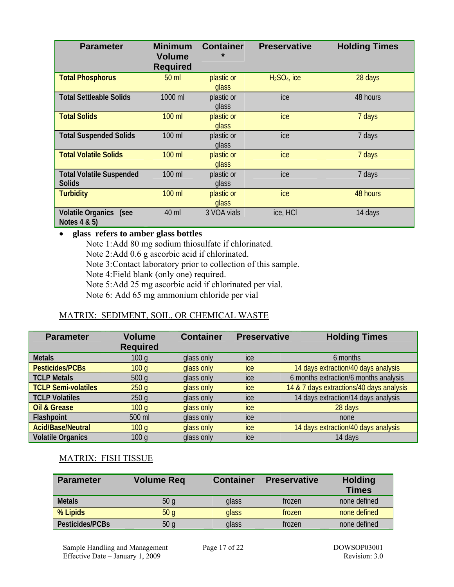| <b>Parameter</b>                                 | <b>Minimum</b><br><b>Volume</b><br><b>Required</b> | <b>Container</b><br>$\star$ | <b>Preservative</b> | <b>Holding Times</b> |
|--------------------------------------------------|----------------------------------------------------|-----------------------------|---------------------|----------------------|
| <b>Total Phosphorus</b>                          | 50 ml                                              | plastic or<br>glass         | $H2SO4$ , ice       | 28 days              |
| <b>Total Settleable Solids</b>                   | 1000 ml                                            | plastic or<br>glass         | ice                 | 48 hours             |
| <b>Total Solids</b>                              | 100 ml                                             | plastic or<br>glass         | ice                 | 7 days               |
| <b>Total Suspended Solids</b>                    | 100 ml                                             | plastic or<br>glass         | ice                 | 7 days               |
| <b>Total Volatile Solids</b>                     | 100 ml                                             | plastic or<br>glass         | ice                 | 7 days               |
| <b>Total Volatile Suspended</b><br><b>Solids</b> | 100 ml                                             | plastic or<br>glass         | ice                 | 7 days               |
| <b>Turbidity</b>                                 | 100 ml                                             | plastic or<br>glass         | ice                 | 48 hours             |
| Volatile Organics (see<br>Notes 4 & 5)           | 40 ml                                              | 3 VOA vials                 | ice, HCI            | 14 days              |

#### • **glass refers to amber glass bottles**

Note 1: Add 80 mg sodium thiosulfate if chlorinated. Note 2: Add 0.6 g ascorbic acid if chlorinated. Note 3: Contact laboratory prior to collection of this sample. Note 4: Field blank (only one) required. Note 5: Add 25 mg ascorbic acid if chlorinated per vial. Note 6: Add 65 mg ammonium chloride per vial

#### MATRIX: SEDIMENT, SOIL, OR CHEMICAL WASTE

| <b>Parameter</b>           | <b>Volume</b><br><b>Required</b> | <b>Container</b> | <b>Preservative</b> | <b>Holding Times</b>                     |
|----------------------------|----------------------------------|------------------|---------------------|------------------------------------------|
| <b>Metals</b>              | 100q                             | glass only       | ice                 | 6 months                                 |
| Pesticides/PCBs            | 100q                             | glass only       | ice                 | 14 days extraction/40 days analysis      |
| <b>TCLP Metals</b>         | 500q                             | glass only       | ice                 | 6 months extraction/6 months analysis    |
| <b>TCLP Semi-volatiles</b> | 250q                             | glass only       | ice                 | 14 & 7 days extractions/40 days analysis |
| <b>TCLP Volatiles</b>      | 250q                             | glass only       | ice                 | 14 days extraction/14 days analysis      |
| <b>Oil &amp; Grease</b>    | 100q                             | glass only       | ice                 | 28 days                                  |
| Flashpoint                 | 500 ml                           | glass only       | ice                 | none                                     |
| <b>Acid/Base/Neutral</b>   | 100q                             | glass only       | ice                 | 14 days extraction/40 days analysis      |
| <b>Volatile Organics</b>   | 100q                             | glass only       | ice                 | 14 days                                  |

#### MATRIX: FISH TISSUE

| <b>Parameter</b> | <b>Volume Req</b> | <b>Container</b> | <b>Preservative</b> | <b>Holding</b><br><b>Times</b> |
|------------------|-------------------|------------------|---------------------|--------------------------------|
| <b>Metals</b>    | 50 <sub>g</sub>   | glass            | frozen              | none defined                   |
| % Lipids         | 50q               | glass            | frozen              | none defined                   |
| Pesticides/PCBs  | 50q               | glass            | frozen              | none defined                   |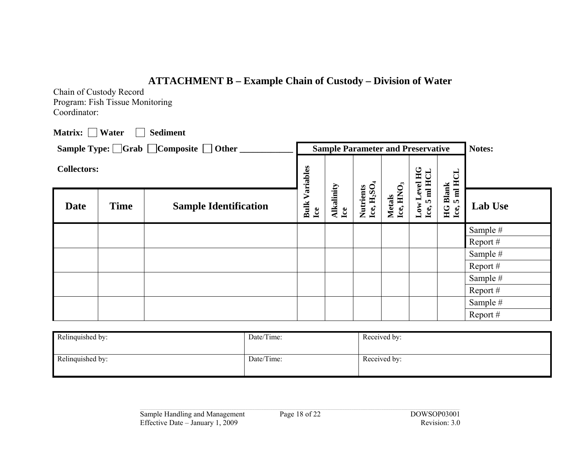# **ATTACHMENT B – Example Chain of Custody – Division of Water**

Chain of Custody Record Program: Fish Tissue Monitoring Coordinator:

| Matrix:  <br>$\mathcal{L}$ | Water       | <b>Sediment</b>                                               |                    |                                          |                                                  |                                 |                                       |                                                          |                |
|----------------------------|-------------|---------------------------------------------------------------|--------------------|------------------------------------------|--------------------------------------------------|---------------------------------|---------------------------------------|----------------------------------------------------------|----------------|
|                            |             | Sample Type: $\Box$ Grab $\Box$ Composite $\Box$ Other $\Box$ |                    | <b>Sample Parameter and Preservative</b> |                                                  |                                 |                                       |                                                          | Notes:         |
| <b>Collectors:</b>         |             |                                                               | Variables          |                                          |                                                  |                                 |                                       | <b>HCL</b>                                               |                |
| <b>Date</b>                | <b>Time</b> | <b>Sample Identification</b>                                  | <b>Bulk</b><br>Lce | Alkalinity<br>Lce                        | Ice, H <sub>2</sub> SO <sub>4</sub><br>Nutrients | Metals<br>Lee, HNO <sub>3</sub> | Low Level HG<br>Ice, 5 ml HCL<br>Ice, | <b>HG Blank</b><br>$\overline{\mathbf{H}}$<br>m.<br>Lce, | <b>Lab Use</b> |
|                            |             |                                                               |                    |                                          |                                                  |                                 |                                       |                                                          | Sample #       |
|                            |             |                                                               |                    |                                          |                                                  |                                 |                                       |                                                          | Report $#$     |
|                            |             |                                                               |                    |                                          |                                                  |                                 |                                       |                                                          | Sample #       |
|                            |             |                                                               |                    |                                          |                                                  |                                 |                                       |                                                          | Report $#$     |
|                            |             |                                                               |                    |                                          |                                                  |                                 |                                       |                                                          | Sample #       |
|                            |             |                                                               |                    |                                          |                                                  |                                 |                                       |                                                          | Report $#$     |
|                            |             |                                                               |                    |                                          |                                                  |                                 |                                       |                                                          | Sample #       |
|                            |             |                                                               |                    |                                          |                                                  |                                 |                                       |                                                          | Report $#$     |

| Relinquished by: | Date/Time: | Received by: |
|------------------|------------|--------------|
| Relinquished by: | Date/Time: | Received by: |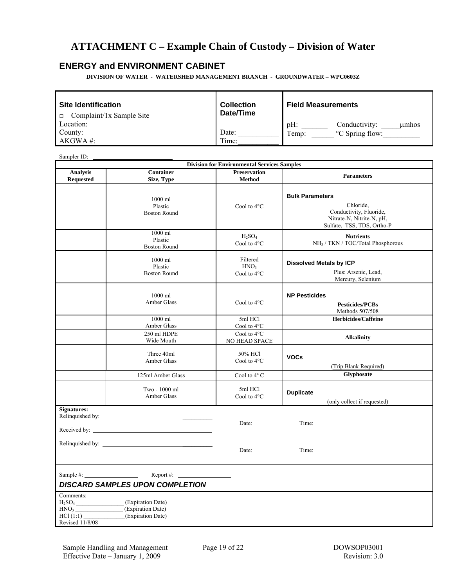# **ATTACHMENT C – Example Chain of Custody – Division of Water**

#### **ENERGY and ENVIRONMENT CABINET**

**DIVISION OF WATER - WATERSHED MANAGEMENT BRANCH - GROUNDWATER – WPC0603Z** 

| <b>Site Identification</b><br>$\Box$ - Complaint/1x Sample Site | <b>Collection</b><br>Date/Time | <b>Field Measurements</b>        |  |  |  |  |
|-----------------------------------------------------------------|--------------------------------|----------------------------------|--|--|--|--|
| Location:                                                       |                                | $pH$ :<br>Conductivity:<br>umhos |  |  |  |  |
| County:                                                         | Date:                          | °C Spring flow:<br>Temp:         |  |  |  |  |
| AKGWA #:                                                        | Time:                          |                                  |  |  |  |  |

Sampler ID:

| <b>Division for Environmental Services Samples</b>           |                                                                                            |                                               |                                                                                                                           |  |  |  |  |  |  |
|--------------------------------------------------------------|--------------------------------------------------------------------------------------------|-----------------------------------------------|---------------------------------------------------------------------------------------------------------------------------|--|--|--|--|--|--|
| <b>Analysis</b><br><b>Requested</b>                          | <b>Container</b><br>Size, Type                                                             | <b>Preservation</b><br><b>Method</b>          | <b>Parameters</b>                                                                                                         |  |  |  |  |  |  |
|                                                              | 1000 ml<br>Plastic<br><b>Boston Round</b>                                                  | Cool to 4°C                                   | <b>Bulk Parameters</b><br>Chloride,<br>Conductivity, Fluoride,<br>Nitrate-N, Nitrite-N, pH,<br>Sulfate, TSS, TDS, Ortho-P |  |  |  |  |  |  |
|                                                              | 1000 ml<br>Plastic<br><b>Boston Round</b>                                                  | $H_2SO_4$<br>Cool to 4°C                      | <b>Nutrients</b><br>NH <sub>3</sub> / TKN / TOC/Total Phosphorous                                                         |  |  |  |  |  |  |
|                                                              | 1000 ml<br>Plastic<br><b>Boston Round</b>                                                  | Filtered<br>HNO <sub>3</sub><br>Cool to 4°C   | <b>Dissolved Metals by ICP</b><br>Plus: Arsenic, Lead,<br>Mercury, Selenium                                               |  |  |  |  |  |  |
|                                                              | $1000$ ml<br>Amber Glass                                                                   | Cool to 4°C                                   | <b>NP Pesticides</b><br><b>Pesticides/PCBs</b><br>Methods 507/508                                                         |  |  |  |  |  |  |
|                                                              | 1000 ml<br>Amber Glass                                                                     | 5ml HCl<br>Cool to $4^{\circ}$ C              | Herbicides/Caffeine                                                                                                       |  |  |  |  |  |  |
|                                                              | 250 ml HDPE<br>Wide Mouth                                                                  | Cool to $4^{\circ}$ C<br><b>NO HEAD SPACE</b> | <b>Alkalinity</b>                                                                                                         |  |  |  |  |  |  |
|                                                              | Three 40ml<br>Amber Glass                                                                  | 50% HCl<br>Cool to 4°C                        | <b>VOCs</b><br>(Trip Blank Required)                                                                                      |  |  |  |  |  |  |
|                                                              | 125ml Amber Glass                                                                          | Cool to 4° C                                  | Glyphosate                                                                                                                |  |  |  |  |  |  |
|                                                              | Two - 1000 ml<br>Amber Glass                                                               | 5ml HCl<br>Cool to 4°C                        | <b>Duplicate</b><br>(only collect if requested)                                                                           |  |  |  |  |  |  |
| <b>Signatures:</b>                                           |                                                                                            | Date:                                         | Time:                                                                                                                     |  |  |  |  |  |  |
|                                                              | Relinquished by:                                                                           | Date:                                         | Time:                                                                                                                     |  |  |  |  |  |  |
| Sample $\#$ :                                                | Report #: $\qquad \qquad$<br><b>DISCARD SAMPLES UPON COMPLETION</b>                        |                                               |                                                                                                                           |  |  |  |  |  |  |
| Comments:<br>HNO <sub>3</sub><br>HC1(1:1)<br>Revised 11/8/08 | H <sub>2</sub> SO <sub>4</sub> (Expiration Date)<br>(Expiration Date)<br>(Expiration Date) |                                               |                                                                                                                           |  |  |  |  |  |  |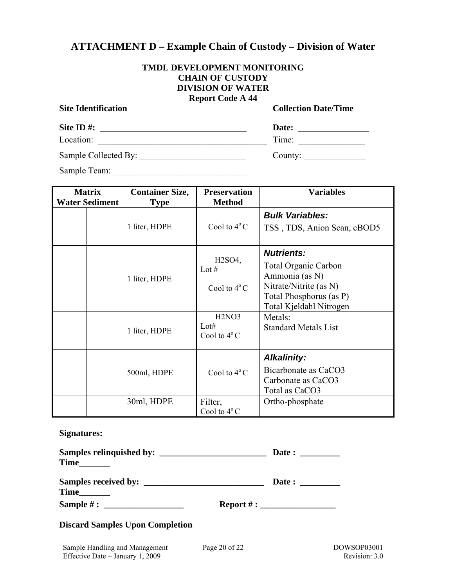## **ATTACHMENT D – Example Chain of Custody – Division of Water**

#### **TMDL DEVELOPMENT MONITORING CHAIN OF CUSTODY DIVISION OF WATER Report Code A 44**

| <b>Site Identification</b> | <b>Report Code A 44</b> | <b>Collection Date/Time</b> |
|----------------------------|-------------------------|-----------------------------|
|                            |                         |                             |
| Location:                  |                         | Time:                       |
| Sample Collected By:       |                         | County: $\qquad \qquad$     |
| Sample Team:               |                         |                             |

| <b>Matrix</b>         | <b>Container Size,</b> | <b>Preservation</b>                                                                  | <b>Variables</b>                                                                                                                                              |  |  |  |  |
|-----------------------|------------------------|--------------------------------------------------------------------------------------|---------------------------------------------------------------------------------------------------------------------------------------------------------------|--|--|--|--|
| <b>Water Sediment</b> | <b>Type</b>            | <b>Method</b>                                                                        |                                                                                                                                                               |  |  |  |  |
|                       | 1 liter, HDPE          | Cool to $4^{\circ}$ C                                                                | <b>Bulk Variables:</b><br>TSS, TDS, Anion Scan, cBOD5                                                                                                         |  |  |  |  |
|                       | 1 liter, HDPE          | H2SO4,<br>Lot $#$<br>Cool to $4^{\circ}$ C<br>H <sub>2</sub> NO <sub>3</sub><br>Lot# | <b>Nutrients:</b><br><b>Total Organic Carbon</b><br>Ammonia (as N)<br>Nitrate/Nitrite (as N)<br>Total Phosphorus (as P)<br>Total Kjeldahl Nitrogen<br>Metals: |  |  |  |  |
|                       | 1 liter, HDPE          | Cool to $4^{\circ}$ C                                                                | <b>Standard Metals List</b>                                                                                                                                   |  |  |  |  |
|                       | 500ml, HDPE            | Cool to $4^{\circ}$ C                                                                | <b>Alkalinity:</b><br>Bicarbonate as CaCO3<br>Carbonate as CaCO3<br>Total as CaCO3                                                                            |  |  |  |  |
|                       | 30ml, HDPE             | Filter,<br>Cool to $4^{\circ}$ C                                                     | Ortho-phosphate                                                                                                                                               |  |  |  |  |

#### **Signatures:**

| Samples relinquished by:<br>Time |                  |  |
|----------------------------------|------------------|--|
| Time                             | Date:            |  |
| Sample $#$ :                     | Report #: $\_\_$ |  |

#### **Discard Samples Upon Completion**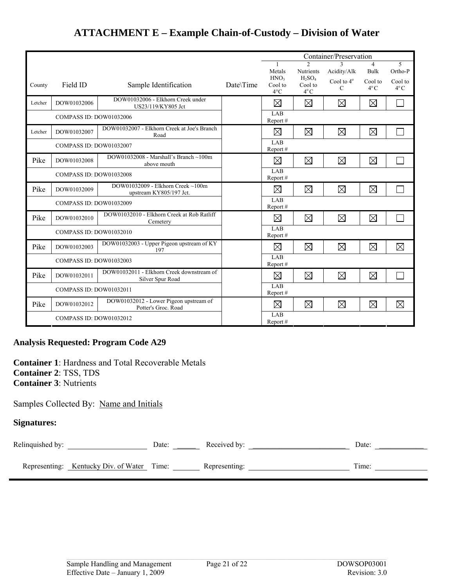|         |                         |                                                               |                | Container/Preservation                       |                                       |                                    |                          |                          |
|---------|-------------------------|---------------------------------------------------------------|----------------|----------------------------------------------|---------------------------------------|------------------------------------|--------------------------|--------------------------|
|         |                         |                                                               |                |                                              | $\mathfrak{D}$                        | $\overline{4}$                     | 5                        |                          |
|         |                         |                                                               |                | Metals                                       | <b>Nutrients</b>                      | Acidity/Alk                        | Bulk                     | Ortho-P                  |
| County  | Field ID                | Sample Identification                                         | Date\Time      | HNO <sub>3</sub><br>Cool to<br>$4^{\circ}$ C | $H_2SO_4$<br>Cool to<br>$4^{\circ}$ C | Cool to $4^\circ$<br>$\mathcal{C}$ | Cool to<br>$4^{\circ}$ C | Cool to<br>$4^{\circ}$ C |
| Letcher | DOW01032006             | DOW01032006 - Elkhorn Creek under<br>US23/119/KY805 Jct       |                | ⊠                                            | $\boxtimes$                           | $\boxtimes$                        | $\boxtimes$              |                          |
|         | COMPASS ID: DOW01032006 |                                                               |                | LAB<br>Report #                              |                                       |                                    |                          |                          |
| Letcher | DOW01032007             | DOW01032007 - Elkhorn Creek at Joe's Branch<br>Road           |                | $\boxtimes$                                  | $\boxtimes$                           | $\boxtimes$                        | $\boxtimes$              |                          |
|         | COMPASS ID: DOW01032007 |                                                               |                | LAB<br>Report#                               |                                       |                                    |                          |                          |
| Pike    | DOW01032008             | DOW01032008 - Marshall's Branch ~100m<br>above mouth          |                | ⊠                                            | $\boxtimes$                           | $\boxtimes$                        | $\boxtimes$              |                          |
|         | COMPASS ID: DOW01032008 |                                                               | LAB<br>Report# |                                              |                                       |                                    |                          |                          |
| Pike    | DOW01032009             | DOW01032009 - Elkhorn Creek ~100m<br>upstream KY805/197 Jct.  |                | $\boxtimes$                                  | $\boxtimes$                           | $\boxtimes$                        | $\boxtimes$              |                          |
|         | COMPASS ID: DOW01032009 |                                                               |                | LAB<br>Report#                               |                                       |                                    |                          |                          |
| Pike    | DOW01032010             | DOW01032010 - Elkhorn Creek at Rob Ratliff<br>Cemetery        |                | $\boxtimes$                                  | $\boxtimes$                           | $\boxtimes$                        | ⊠                        |                          |
|         | COMPASS ID: DOW01032010 |                                                               |                | LAB<br>Report#                               |                                       |                                    |                          |                          |
| Pike    | DOW01032003             | DOW01032003 - Upper Pigeon upstream of KY<br>197              |                | $\boxtimes$                                  | $\boxtimes$                           | $\boxtimes$                        | $\boxtimes$              | $\boxtimes$              |
|         | COMPASS ID: DOW01032003 |                                                               |                | LAB<br>Report#                               |                                       |                                    |                          |                          |
| Pike    | DOW01032011             | DOW01032011 - Elkhorn Creek downstream of<br>Silver Spur Road |                | $\boxtimes$                                  | $\boxtimes$                           | $\boxtimes$                        | $\boxtimes$              |                          |
|         | COMPASS ID: DOW01032011 |                                                               |                | LAB<br>Report#                               |                                       |                                    |                          |                          |
| Pike    | DOW01032012             | DOW01032012 - Lower Pigeon upstream of<br>Potter's Groc. Road |                | $\boxtimes$                                  | $\boxtimes$                           | $\boxtimes$                        | $\boxtimes$              | $\boxtimes$              |
|         | COMPASS ID: DOW01032012 |                                                               |                | LAB<br>Report#                               |                                       |                                    |                          |                          |

# **ATTACHMENT E – Example Chain-of-Custody – Division of Water**

#### **Analysis Requested: Program Code A29**

**Container 1**: Hardness and Total Recoverable Metals **Container 2**: TSS, TDS **Container 3**: Nutrients

#### Samples Collected By: Name and Initials

#### **Signatures:**

| Relinquished by: |                                            | Date: | Received by:  | Date: |
|------------------|--------------------------------------------|-------|---------------|-------|
|                  | Representing: Kentucky Div. of Water Time: |       | Representing: | Time: |